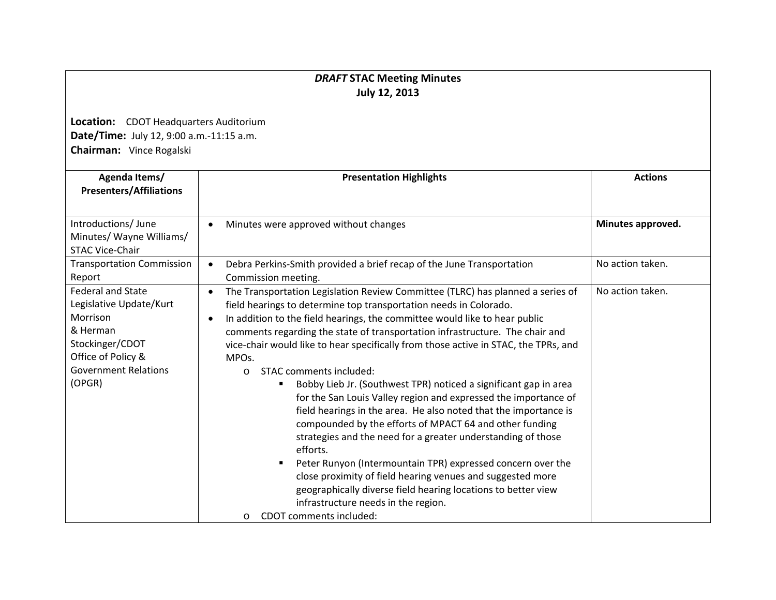## *DRAFT* **STAC Meeting Minutes July 12, 2013**

**Location:** CDOT Headquarters Auditorium **Date/Time:** July 12, 9:00 a.m.‐11:15 a.m. **Chairman:** Vince Rogalski

| Agenda Items/<br><b>Presenters/Affiliations</b>                                                                                                               | <b>Presentation Highlights</b>                                                                                                                                                                                                                                                                                                                                                                                                                                                                                                                                                                                                                                                                                                                                                                                                                                                                                                                                                                                                                                                                     | <b>Actions</b>    |
|---------------------------------------------------------------------------------------------------------------------------------------------------------------|----------------------------------------------------------------------------------------------------------------------------------------------------------------------------------------------------------------------------------------------------------------------------------------------------------------------------------------------------------------------------------------------------------------------------------------------------------------------------------------------------------------------------------------------------------------------------------------------------------------------------------------------------------------------------------------------------------------------------------------------------------------------------------------------------------------------------------------------------------------------------------------------------------------------------------------------------------------------------------------------------------------------------------------------------------------------------------------------------|-------------------|
| Introductions/June<br>Minutes/ Wayne Williams/<br><b>STAC Vice-Chair</b>                                                                                      | Minutes were approved without changes                                                                                                                                                                                                                                                                                                                                                                                                                                                                                                                                                                                                                                                                                                                                                                                                                                                                                                                                                                                                                                                              | Minutes approved. |
| <b>Transportation Commission</b><br>Report                                                                                                                    | Debra Perkins-Smith provided a brief recap of the June Transportation<br>$\bullet$<br>Commission meeting.                                                                                                                                                                                                                                                                                                                                                                                                                                                                                                                                                                                                                                                                                                                                                                                                                                                                                                                                                                                          | No action taken.  |
| <b>Federal and State</b><br>Legislative Update/Kurt<br>Morrison<br>& Herman<br>Stockinger/CDOT<br>Office of Policy &<br><b>Government Relations</b><br>(OPGR) | The Transportation Legislation Review Committee (TLRC) has planned a series of<br>field hearings to determine top transportation needs in Colorado.<br>In addition to the field hearings, the committee would like to hear public<br>comments regarding the state of transportation infrastructure. The chair and<br>vice-chair would like to hear specifically from those active in STAC, the TPRs, and<br>MPO <sub>s</sub> .<br>STAC comments included:<br>$\Omega$<br>Bobby Lieb Jr. (Southwest TPR) noticed a significant gap in area<br>for the San Louis Valley region and expressed the importance of<br>field hearings in the area. He also noted that the importance is<br>compounded by the efforts of MPACT 64 and other funding<br>strategies and the need for a greater understanding of those<br>efforts.<br>Peter Runyon (Intermountain TPR) expressed concern over the<br>close proximity of field hearing venues and suggested more<br>geographically diverse field hearing locations to better view<br>infrastructure needs in the region.<br>CDOT comments included:<br>$\circ$ | No action taken.  |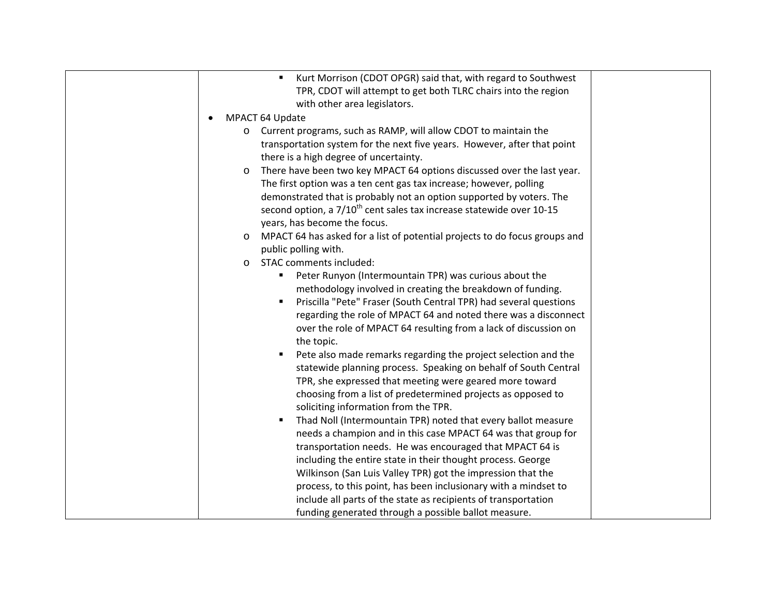| Kurt Morrison (CDOT OPGR) said that, with regard to Southwest<br>$\blacksquare$       |
|---------------------------------------------------------------------------------------|
| TPR, CDOT will attempt to get both TLRC chairs into the region                        |
| with other area legislators.                                                          |
| MPACT 64 Update                                                                       |
|                                                                                       |
| Current programs, such as RAMP, will allow CDOT to maintain the<br>$\circ$            |
| transportation system for the next five years. However, after that point              |
| there is a high degree of uncertainty.                                                |
| There have been two key MPACT 64 options discussed over the last year.<br>$\circ$     |
| The first option was a ten cent gas tax increase; however, polling                    |
| demonstrated that is probably not an option supported by voters. The                  |
| second option, a 7/10 <sup>th</sup> cent sales tax increase statewide over 10-15      |
| years, has become the focus.                                                          |
| MPACT 64 has asked for a list of potential projects to do focus groups and<br>$\circ$ |
| public polling with.                                                                  |
| STAC comments included:<br>$\circ$                                                    |
| Peter Runyon (Intermountain TPR) was curious about the<br>٠                           |
| methodology involved in creating the breakdown of funding.                            |
| Priscilla "Pete" Fraser (South Central TPR) had several questions                     |
| regarding the role of MPACT 64 and noted there was a disconnect                       |
| over the role of MPACT 64 resulting from a lack of discussion on                      |
| the topic.                                                                            |
| Pete also made remarks regarding the project selection and the<br>٠                   |
| statewide planning process. Speaking on behalf of South Central                       |
| TPR, she expressed that meeting were geared more toward                               |
| choosing from a list of predetermined projects as opposed to                          |
| soliciting information from the TPR.                                                  |
| Thad Noll (Intermountain TPR) noted that every ballot measure                         |
| needs a champion and in this case MPACT 64 was that group for                         |
| transportation needs. He was encouraged that MPACT 64 is                              |
| including the entire state in their thought process. George                           |
| Wilkinson (San Luis Valley TPR) got the impression that the                           |
| process, to this point, has been inclusionary with a mindset to                       |
| include all parts of the state as recipients of transportation                        |
| funding generated through a possible ballot measure.                                  |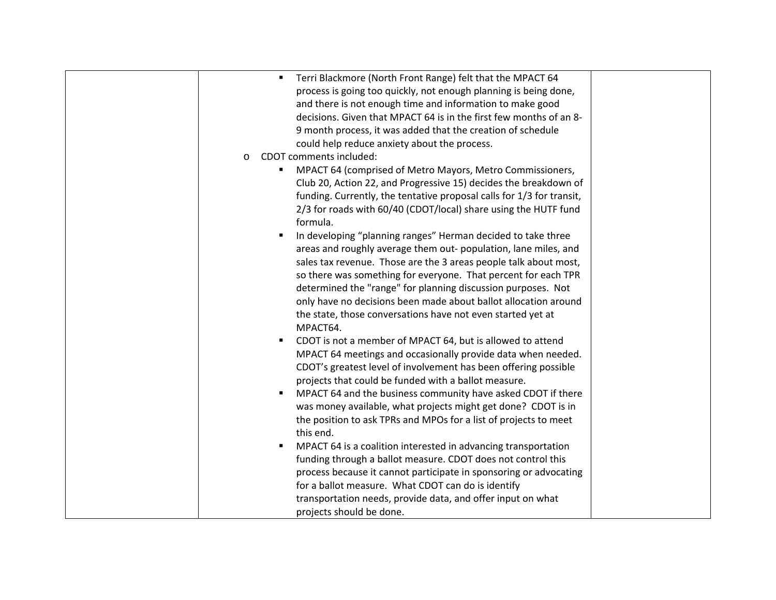| Terri Blackmore (North Front Range) felt that the MPACT 64<br>٠<br>process is going too quickly, not enough planning is being done,<br>and there is not enough time and information to make good<br>decisions. Given that MPACT 64 is in the first few months of an 8-<br>9 month process, it was added that the creation of schedule<br>could help reduce anxiety about the process.<br>CDOT comments included:<br>$\circ$<br>MPACT 64 (comprised of Metro Mayors, Metro Commissioners,<br>Club 20, Action 22, and Progressive 15) decides the breakdown of<br>funding. Currently, the tentative proposal calls for 1/3 for transit,<br>2/3 for roads with 60/40 (CDOT/local) share using the HUTF fund<br>formula.<br>In developing "planning ranges" Herman decided to take three<br>$\blacksquare$<br>areas and roughly average them out-population, lane miles, and<br>sales tax revenue. Those are the 3 areas people talk about most,<br>so there was something for everyone. That percent for each TPR<br>determined the "range" for planning discussion purposes. Not<br>only have no decisions been made about ballot allocation around<br>the state, those conversations have not even started yet at<br>MPACT64.<br>CDOT is not a member of MPACT 64, but is allowed to attend<br>٠<br>MPACT 64 meetings and occasionally provide data when needed.<br>CDOT's greatest level of involvement has been offering possible<br>projects that could be funded with a ballot measure.<br>MPACT 64 and the business community have asked CDOT if there<br>was money available, what projects might get done? CDOT is in |  |
|-----------------------------------------------------------------------------------------------------------------------------------------------------------------------------------------------------------------------------------------------------------------------------------------------------------------------------------------------------------------------------------------------------------------------------------------------------------------------------------------------------------------------------------------------------------------------------------------------------------------------------------------------------------------------------------------------------------------------------------------------------------------------------------------------------------------------------------------------------------------------------------------------------------------------------------------------------------------------------------------------------------------------------------------------------------------------------------------------------------------------------------------------------------------------------------------------------------------------------------------------------------------------------------------------------------------------------------------------------------------------------------------------------------------------------------------------------------------------------------------------------------------------------------------------------------------------------------------------------------------------------|--|
| the position to ask TPRs and MPOs for a list of projects to meet<br>this end.                                                                                                                                                                                                                                                                                                                                                                                                                                                                                                                                                                                                                                                                                                                                                                                                                                                                                                                                                                                                                                                                                                                                                                                                                                                                                                                                                                                                                                                                                                                                               |  |
| MPACT 64 is a coalition interested in advancing transportation<br>٠<br>funding through a ballot measure. CDOT does not control this<br>process because it cannot participate in sponsoring or advocating<br>for a ballot measure. What CDOT can do is identify<br>transportation needs, provide data, and offer input on what<br>projects should be done.                                                                                                                                                                                                                                                                                                                                                                                                                                                                                                                                                                                                                                                                                                                                                                                                                                                                                                                                                                                                                                                                                                                                                                                                                                                                   |  |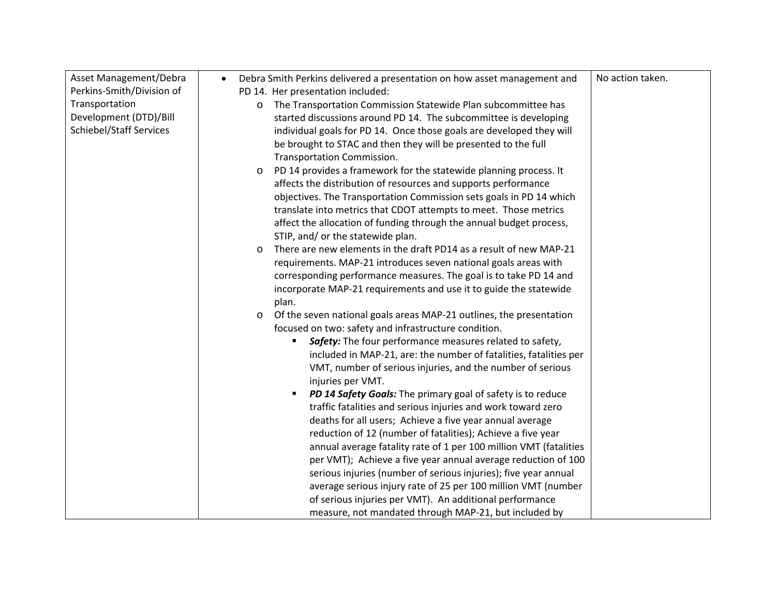| Asset Management/Debra         | Debra Smith Perkins delivered a presentation on how asset management and<br>$\bullet$ | No action taken. |
|--------------------------------|---------------------------------------------------------------------------------------|------------------|
| Perkins-Smith/Division of      | PD 14. Her presentation included:                                                     |                  |
| Transportation                 | The Transportation Commission Statewide Plan subcommittee has<br>$\circ$              |                  |
| Development (DTD)/Bill         | started discussions around PD 14. The subcommittee is developing                      |                  |
| <b>Schiebel/Staff Services</b> | individual goals for PD 14. Once those goals are developed they will                  |                  |
|                                | be brought to STAC and then they will be presented to the full                        |                  |
|                                | <b>Transportation Commission.</b>                                                     |                  |
|                                | PD 14 provides a framework for the statewide planning process. It<br>$\circ$          |                  |
|                                | affects the distribution of resources and supports performance                        |                  |
|                                | objectives. The Transportation Commission sets goals in PD 14 which                   |                  |
|                                | translate into metrics that CDOT attempts to meet. Those metrics                      |                  |
|                                | affect the allocation of funding through the annual budget process,                   |                  |
|                                | STIP, and/ or the statewide plan.                                                     |                  |
|                                | There are new elements in the draft PD14 as a result of new MAP-21<br>O               |                  |
|                                | requirements. MAP-21 introduces seven national goals areas with                       |                  |
|                                | corresponding performance measures. The goal is to take PD 14 and                     |                  |
|                                | incorporate MAP-21 requirements and use it to guide the statewide                     |                  |
|                                | plan.                                                                                 |                  |
|                                | Of the seven national goals areas MAP-21 outlines, the presentation<br>$\circ$        |                  |
|                                | focused on two: safety and infrastructure condition.                                  |                  |
|                                | Safety: The four performance measures related to safety,                              |                  |
|                                | included in MAP-21, are: the number of fatalities, fatalities per                     |                  |
|                                | VMT, number of serious injuries, and the number of serious                            |                  |
|                                | injuries per VMT.                                                                     |                  |
|                                | PD 14 Safety Goals: The primary goal of safety is to reduce<br>$\blacksquare$         |                  |
|                                | traffic fatalities and serious injuries and work toward zero                          |                  |
|                                | deaths for all users; Achieve a five year annual average                              |                  |
|                                | reduction of 12 (number of fatalities); Achieve a five year                           |                  |
|                                | annual average fatality rate of 1 per 100 million VMT (fatalities                     |                  |
|                                | per VMT); Achieve a five year annual average reduction of 100                         |                  |
|                                | serious injuries (number of serious injuries); five year annual                       |                  |
|                                | average serious injury rate of 25 per 100 million VMT (number                         |                  |
|                                | of serious injuries per VMT). An additional performance                               |                  |
|                                | measure, not mandated through MAP-21, but included by                                 |                  |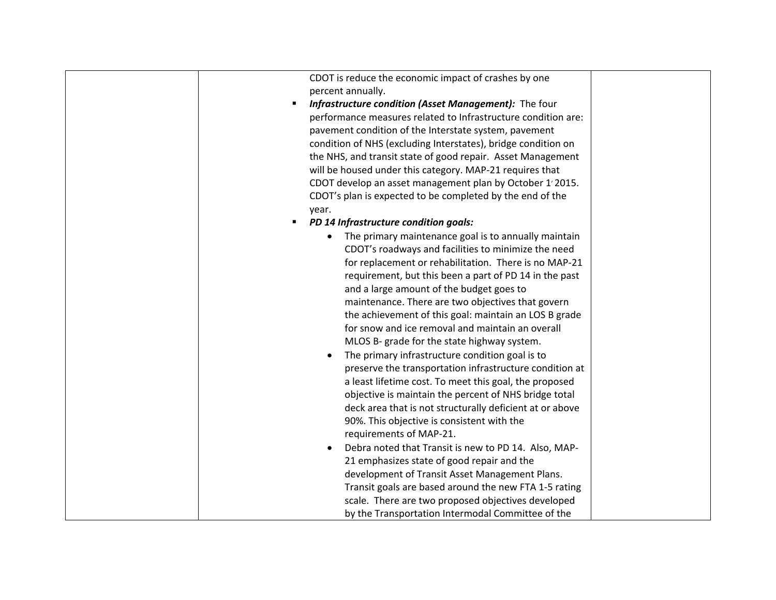|   | CDOT is reduce the economic impact of crashes by one          |  |
|---|---------------------------------------------------------------|--|
|   | percent annually.                                             |  |
|   | Infrastructure condition (Asset Management): The four         |  |
|   | performance measures related to Infrastructure condition are: |  |
|   | pavement condition of the Interstate system, pavement         |  |
|   | condition of NHS (excluding Interstates), bridge condition on |  |
|   | the NHS, and transit state of good repair. Asset Management   |  |
|   | will be housed under this category. MAP-21 requires that      |  |
|   | CDOT develop an asset management plan by October 1'2015.      |  |
|   | CDOT's plan is expected to be completed by the end of the     |  |
|   | year.                                                         |  |
| ٠ | PD 14 Infrastructure condition goals:                         |  |
|   | The primary maintenance goal is to annually maintain          |  |
|   | CDOT's roadways and facilities to minimize the need           |  |
|   | for replacement or rehabilitation. There is no MAP-21         |  |
|   | requirement, but this been a part of PD 14 in the past        |  |
|   | and a large amount of the budget goes to                      |  |
|   | maintenance. There are two objectives that govern             |  |
|   | the achievement of this goal: maintain an LOS B grade         |  |
|   | for snow and ice removal and maintain an overall              |  |
|   | MLOS B- grade for the state highway system.                   |  |
|   | The primary infrastructure condition goal is to<br>$\bullet$  |  |
|   | preserve the transportation infrastructure condition at       |  |
|   |                                                               |  |
|   | a least lifetime cost. To meet this goal, the proposed        |  |
|   | objective is maintain the percent of NHS bridge total         |  |
|   | deck area that is not structurally deficient at or above      |  |
|   | 90%. This objective is consistent with the                    |  |
|   | requirements of MAP-21.                                       |  |
|   | Debra noted that Transit is new to PD 14. Also, MAP-          |  |
|   | 21 emphasizes state of good repair and the                    |  |
|   | development of Transit Asset Management Plans.                |  |
|   | Transit goals are based around the new FTA 1-5 rating         |  |
|   | scale. There are two proposed objectives developed            |  |
|   | by the Transportation Intermodal Committee of the             |  |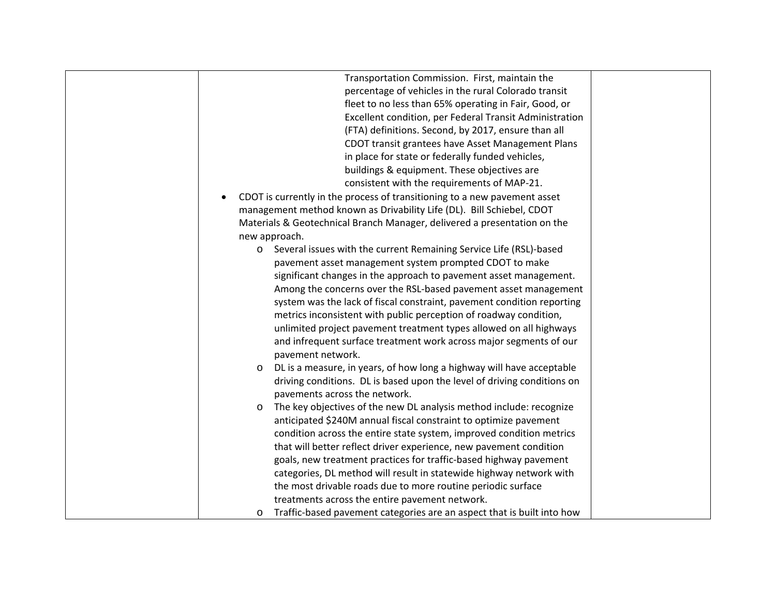| Transportation Commission. First, maintain the                                    |  |
|-----------------------------------------------------------------------------------|--|
| percentage of vehicles in the rural Colorado transit                              |  |
| fleet to no less than 65% operating in Fair, Good, or                             |  |
| Excellent condition, per Federal Transit Administration                           |  |
| (FTA) definitions. Second, by 2017, ensure than all                               |  |
| CDOT transit grantees have Asset Management Plans                                 |  |
| in place for state or federally funded vehicles,                                  |  |
| buildings & equipment. These objectives are                                       |  |
| consistent with the requirements of MAP-21.                                       |  |
| CDOT is currently in the process of transitioning to a new pavement asset         |  |
| management method known as Drivability Life (DL). Bill Schiebel, CDOT             |  |
| Materials & Geotechnical Branch Manager, delivered a presentation on the          |  |
| new approach.                                                                     |  |
| Several issues with the current Remaining Service Life (RSL)-based<br>$\circ$     |  |
| pavement asset management system prompted CDOT to make                            |  |
| significant changes in the approach to pavement asset management.                 |  |
| Among the concerns over the RSL-based pavement asset management                   |  |
| system was the lack of fiscal constraint, pavement condition reporting            |  |
| metrics inconsistent with public perception of roadway condition,                 |  |
| unlimited project pavement treatment types allowed on all highways                |  |
| and infrequent surface treatment work across major segments of our                |  |
| pavement network.                                                                 |  |
| DL is a measure, in years, of how long a highway will have acceptable<br>$\circ$  |  |
| driving conditions. DL is based upon the level of driving conditions on           |  |
| pavements across the network.                                                     |  |
| The key objectives of the new DL analysis method include: recognize<br>$\circ$    |  |
| anticipated \$240M annual fiscal constraint to optimize pavement                  |  |
| condition across the entire state system, improved condition metrics              |  |
| that will better reflect driver experience, new pavement condition                |  |
| goals, new treatment practices for traffic-based highway pavement                 |  |
| categories, DL method will result in statewide highway network with               |  |
| the most drivable roads due to more routine periodic surface                      |  |
| treatments across the entire pavement network.                                    |  |
| Traffic-based pavement categories are an aspect that is built into how<br>$\circ$ |  |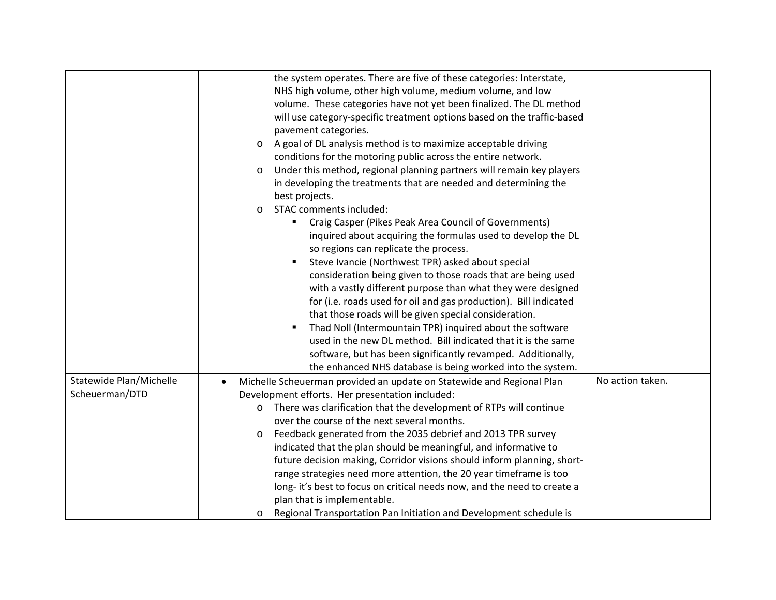|                         | the system operates. There are five of these categories: Interstate,               |                  |
|-------------------------|------------------------------------------------------------------------------------|------------------|
|                         | NHS high volume, other high volume, medium volume, and low                         |                  |
|                         | volume. These categories have not yet been finalized. The DL method                |                  |
|                         | will use category-specific treatment options based on the traffic-based            |                  |
|                         | pavement categories.                                                               |                  |
|                         | A goal of DL analysis method is to maximize acceptable driving<br>$\circ$          |                  |
|                         | conditions for the motoring public across the entire network.                      |                  |
|                         | Under this method, regional planning partners will remain key players<br>O         |                  |
|                         | in developing the treatments that are needed and determining the                   |                  |
|                         | best projects.                                                                     |                  |
|                         | STAC comments included:<br>$\circ$                                                 |                  |
|                         | Craig Casper (Pikes Peak Area Council of Governments)<br>$\blacksquare$            |                  |
|                         | inquired about acquiring the formulas used to develop the DL                       |                  |
|                         | so regions can replicate the process.                                              |                  |
|                         | Steve Ivancie (Northwest TPR) asked about special<br>٠                             |                  |
|                         | consideration being given to those roads that are being used                       |                  |
|                         | with a vastly different purpose than what they were designed                       |                  |
|                         | for (i.e. roads used for oil and gas production). Bill indicated                   |                  |
|                         | that those roads will be given special consideration.                              |                  |
|                         | Thad Noll (Intermountain TPR) inquired about the software<br>Е                     |                  |
|                         | used in the new DL method. Bill indicated that it is the same                      |                  |
|                         | software, but has been significantly revamped. Additionally,                       |                  |
|                         | the enhanced NHS database is being worked into the system.                         |                  |
| Statewide Plan/Michelle | Michelle Scheuerman provided an update on Statewide and Regional Plan<br>$\bullet$ | No action taken. |
| Scheuerman/DTD          | Development efforts. Her presentation included:                                    |                  |
|                         | There was clarification that the development of RTPs will continue<br>$\circ$      |                  |
|                         | over the course of the next several months.                                        |                  |
|                         | Feedback generated from the 2035 debrief and 2013 TPR survey<br>O                  |                  |
|                         | indicated that the plan should be meaningful, and informative to                   |                  |
|                         | future decision making, Corridor visions should inform planning, short-            |                  |
|                         | range strategies need more attention, the 20 year timeframe is too                 |                  |
|                         | long- it's best to focus on critical needs now, and the need to create a           |                  |
|                         | plan that is implementable.                                                        |                  |
|                         | Regional Transportation Pan Initiation and Development schedule is<br>O            |                  |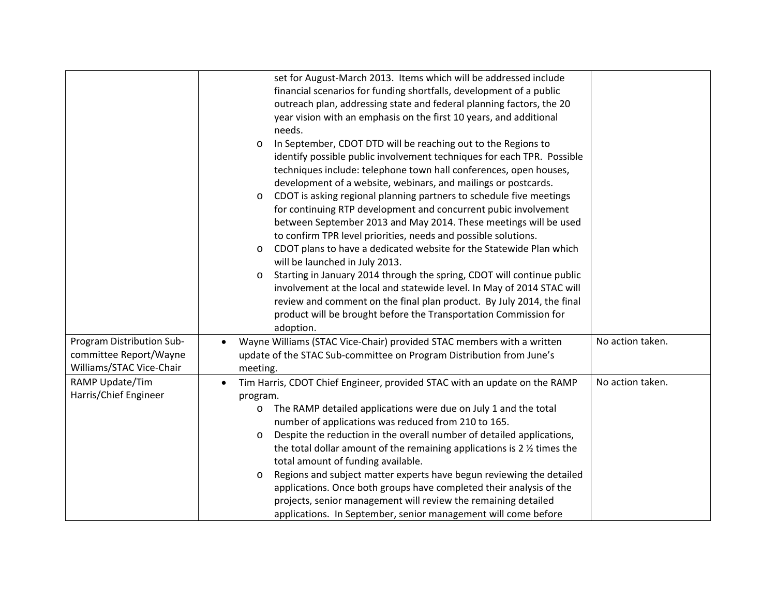|                           | set for August-March 2013. Items which will be addressed include                       |                  |
|---------------------------|----------------------------------------------------------------------------------------|------------------|
|                           | financial scenarios for funding shortfalls, development of a public                    |                  |
|                           | outreach plan, addressing state and federal planning factors, the 20                   |                  |
|                           | year vision with an emphasis on the first 10 years, and additional                     |                  |
|                           | needs.                                                                                 |                  |
|                           | In September, CDOT DTD will be reaching out to the Regions to<br>$\circ$               |                  |
|                           | identify possible public involvement techniques for each TPR. Possible                 |                  |
|                           | techniques include: telephone town hall conferences, open houses,                      |                  |
|                           | development of a website, webinars, and mailings or postcards.                         |                  |
|                           | CDOT is asking regional planning partners to schedule five meetings<br>$\circ$         |                  |
|                           | for continuing RTP development and concurrent pubic involvement                        |                  |
|                           | between September 2013 and May 2014. These meetings will be used                       |                  |
|                           | to confirm TPR level priorities, needs and possible solutions.                         |                  |
|                           | CDOT plans to have a dedicated website for the Statewide Plan which<br>$\circ$         |                  |
|                           | will be launched in July 2013.                                                         |                  |
|                           | Starting in January 2014 through the spring, CDOT will continue public<br>O            |                  |
|                           | involvement at the local and statewide level. In May of 2014 STAC will                 |                  |
|                           | review and comment on the final plan product. By July 2014, the final                  |                  |
|                           | product will be brought before the Transportation Commission for                       |                  |
|                           | adoption.                                                                              |                  |
| Program Distribution Sub- | Wayne Williams (STAC Vice-Chair) provided STAC members with a written<br>$\bullet$     | No action taken. |
| committee Report/Wayne    | update of the STAC Sub-committee on Program Distribution from June's                   |                  |
| Williams/STAC Vice-Chair  | meeting.                                                                               |                  |
| RAMP Update/Tim           | Tim Harris, CDOT Chief Engineer, provided STAC with an update on the RAMP<br>$\bullet$ | No action taken. |
| Harris/Chief Engineer     | program.                                                                               |                  |
|                           | The RAMP detailed applications were due on July 1 and the total<br>O                   |                  |
|                           | number of applications was reduced from 210 to 165.                                    |                  |
|                           | Despite the reduction in the overall number of detailed applications,<br>O             |                  |
|                           | the total dollar amount of the remaining applications is 2 % times the                 |                  |
|                           | total amount of funding available.                                                     |                  |
|                           | Regions and subject matter experts have begun reviewing the detailed<br>$\circ$        |                  |
|                           | applications. Once both groups have completed their analysis of the                    |                  |
|                           | projects, senior management will review the remaining detailed                         |                  |
|                           | applications. In September, senior management will come before                         |                  |